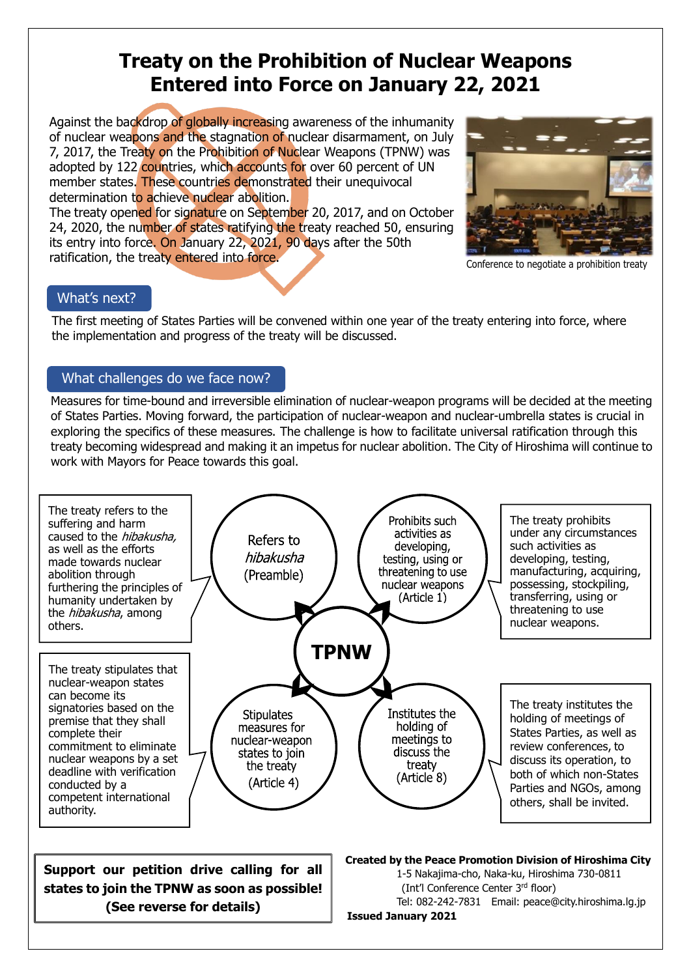# **Treaty on the Prohibition of Nuclear Weapons Entered into Force on January 22, 2021**

Against the backdrop of globally increasing awareness of the inhumanity of nuclear weapons and the stagnation of nuclear disarmament, on July 7, 2017, the Treaty on the Prohibition of Nuclear Weapons (TPNW) was adopted by 122 countries, which accounts for over 60 percent of UN member states. These countries demonstrated their unequivocal determination to achieve nuclear abolition.

The treaty opened for signature on September 20, 2017, and on October 24, 2020, the number of states ratifying the treaty reached 50, ensuring its entry into force. On January 22, 2021, 90 days after the 50th ratification, the treaty entered into force.



Conference to negotiate a prohibition treaty

### What's next?

The first meeting of States Parties will be convened within one year of the treaty entering into force, where the implementation and progress of the treaty will be discussed.

### What challenges do we face now?

Measures for time-bound and irreversible elimination of nuclear-weapon programs will be decided at the meeting of States Parties. Moving forward, the participation of nuclear-weapon and nuclear-umbrella states is crucial in exploring the specifics of these measures. The challenge is how to facilitate universal ratification through this treaty becoming widespread and making it an impetus for nuclear abolition. The City of Hiroshima will continue to work with Mayors for Peace towards this goal.